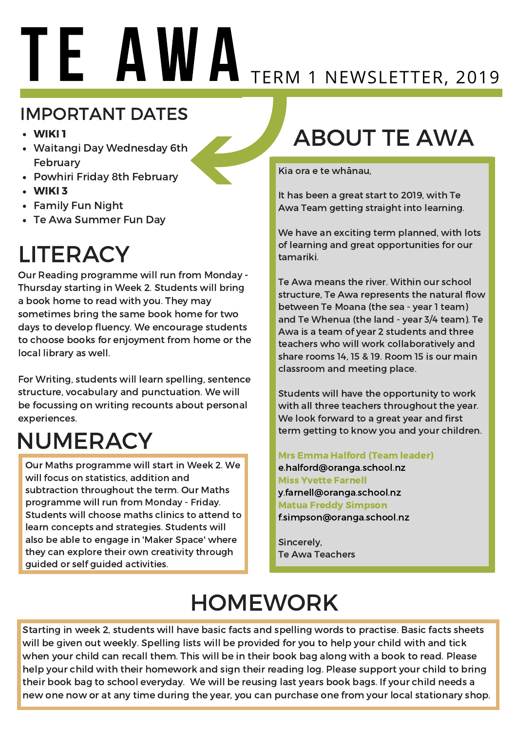# TE AWA TERM 1 NEWSLETTER, 2019

#### IMPORTANT DATES

- WIKI 1
- Waitangi Day Wednesday 6th February
- Powhiri Friday 8th February
- WIKI 3
- Family Fun Night
- Te Awa Summer Fun Day

## **LITERACY**

Our Reading programme will run from Monday - Thursday starting in Week 2. Students will bring a book home to read with you. They may sometimes bring the same book home for two days to develop fluency. We encourage students to choose books for enjoyment from home or the local library as well.

For Writing, students will learn spelling, sentence structure, vocabulary and punctuation. We will be focussing on writing recounts about personal experiences.

## NUMERACY

Our Maths programme will start in Week 2. We will focus on statistics, addition and subtraction throughout the term. Our Maths programme will run from Monday - Friday. Students will choose maths clinics to attend to learn concepts and strategies. Students will also be able to engage in 'Maker Space' where they can explore their own creativity through guided or self guided activities.

## ABOUT TE AWA

Kia ora e te whānau,

It has been a great start to 2019, with Te Awa Team getting straight into learning.

We have an exciting term planned, with lots of learning and great opportunities for our tamariki.

Te Awa means the river. Within our school structure, Te Awa represents the natural flow between Te Moana (the sea - year 1 team) and Te Whenua (the land - year 3/4 team). Te Awa is a team of year 2 students and three teachers who will work collaboratively and share rooms 14, 15 & 19. Room 15 is our main classroom and meeting place.

Students will have the opportunity to work with all three teachers throughout the year. We look forward to a great year and first term getting to know you and your children.

Mrs Emma Halford (Team leader) e.halford@oranga.school.nz Miss Yvette Farnell y.farnell@oranga.school.nz Matua Freddy Simpson f.simpson@oranga.school.nz

Sincerely, Te Awa Teachers

## HOMEWORK

Starting in week 2, students will have basic facts and spelling words to practise. Basic facts sheets will be given out weekly. Spelling lists will be provided for you to help your child with and tick when your child can recall them. This will be in their book bag along with a book to read. Please help your child with their homework and sign their reading log. Please support your child to bring their book bag to school everyday. We will be reusing last years book bags. If your child needs a new one now or at any time during the year, you can purchase one from your local stationary shop.